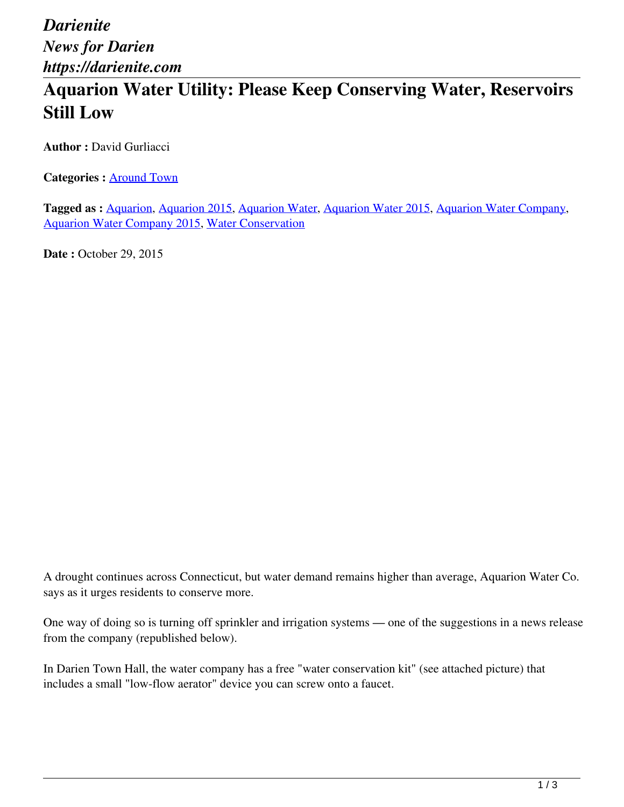*Darienite News for Darien https://darienite.com*

## **Aquarion Water Utility: Please Keep Conserving Water, Reservoirs Still Low**

**Author :** David Gurliacci

**Categories :** [Around Town](https://darienite.com/category/news/around-town)

**Tagged as :** Aquarion, Aquarion 2015, Aquarion Water, Aquarion Water 2015, Aquarion Water Company, Aquarion Water Company 2015, Water Conservation

**Date : October 29, 2015** 

A drought continues across Connecticut, but water demand remains higher than average, Aquarion Water Co. says as it urges residents to conserve more.

One way of doing so is turning off sprinkler and irrigation systems — one of the suggestions in a news release from the company (republished below).

In Darien Town Hall, the water company has a free "water conservation kit" (see attached picture) that includes a small "low-flow aerator" device you can screw onto a faucet.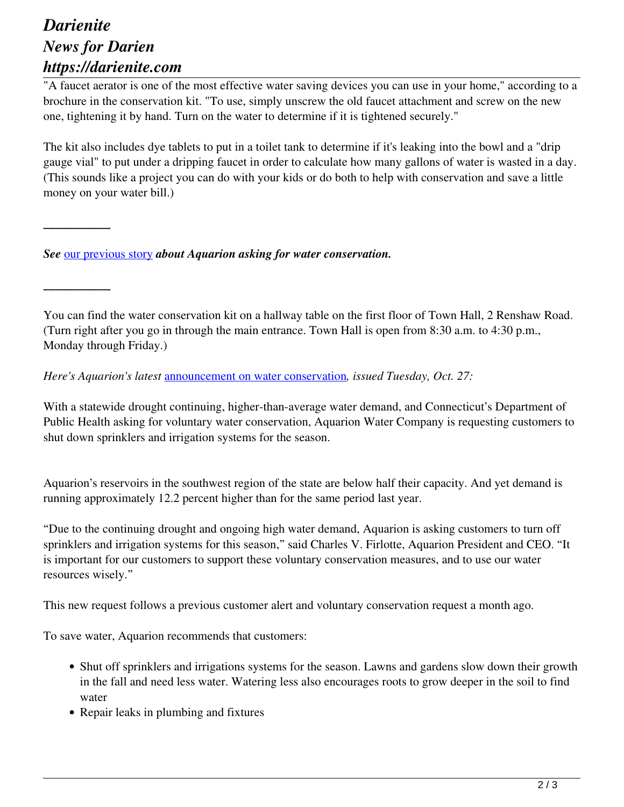## *Darienite News for Darien https://darienite.com*

*\_\_\_\_\_\_\_\_\_\_\_*

*\_\_\_\_\_\_\_\_\_\_\_*

"A faucet aerator is one of the most effective water saving devices you can use in your home," according to a brochure in the conservation kit. "To use, simply unscrew the old faucet attachment and screw on the new one, tightening it by hand. Turn on the water to determine if it is tightened securely."

The kit also includes dye tablets to put in a toilet tank to determine if it's leaking into the bowl and a "drip gauge vial" to put under a dripping faucet in order to calculate how many gallons of water is wasted in a day. (This sounds like a project you can do with your kids or do both to help with conservation and save a little money on your water bill.)

*See* our previous story *about Aquarion asking for water conservation.*

You can find the water conservation kit on a hallway table on the first floor of Town Hall, 2 Renshaw Road. (Turn right after you go in through the main entrance. Town Hall is open from 8:30 a.m. to 4:30 p.m., Monday through Friday.)

*Here's Aquarion's latest* announcement on water conservation*, issued Tuesday, Oct. 27:*

With a statewide drought continuing, higher-than-average water demand, and Connecticut's Department of Public Health asking for voluntary water conservation, Aquarion Water Company is requesting customers to shut down sprinklers and irrigation systems for the season.

Aquarion's reservoirs in the southwest region of the state are below half their capacity. And yet demand is running approximately 12.2 percent higher than for the same period last year.

"Due to the continuing drought and ongoing high water demand, Aquarion is asking customers to turn off sprinklers and irrigation systems for this season," said Charles V. Firlotte, Aquarion President and CEO. "It is important for our customers to support these voluntary conservation measures, and to use our water resources wisely."

This new request follows a previous customer alert and voluntary conservation request a month ago.

To save water, Aquarion recommends that customers:

- Shut off sprinklers and irrigations systems for the season. Lawns and gardens slow down their growth in the fall and need less water. Watering less also encourages roots to grow deeper in the soil to find water
- Repair leaks in plumbing and fixtures